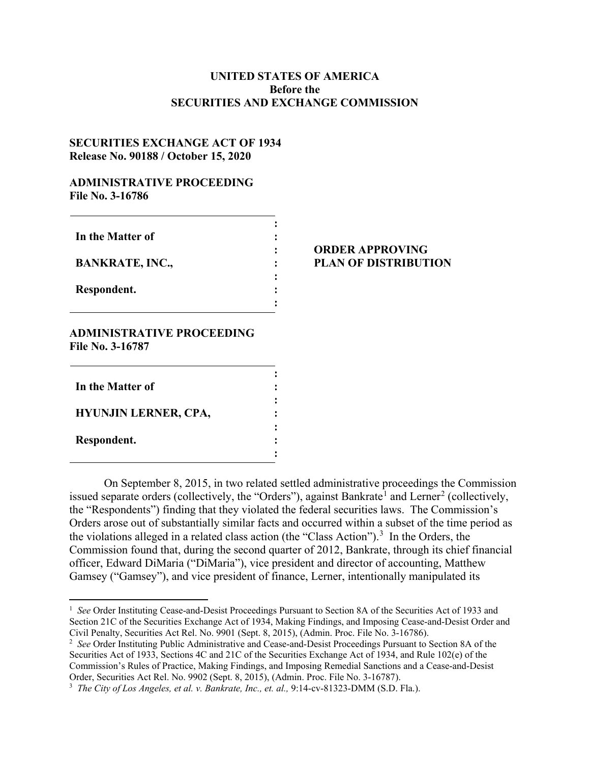# **UNITED STATES OF AMERICA Before the SECURITIES AND EXCHANGE COMMISSION**

## **SECURITIES EXCHANGE ACT OF 1934 Release No. 90188 / October 15, 2020**

## **ADMINISTRATIVE PROCEEDING File No. 3-16786**

| In the Matter of       |  |
|------------------------|--|
| <b>BANKRATE, INC.,</b> |  |
| Respondent.            |  |
|                        |  |

### **ORDER APPROVING PLAN OF DISTRIBUTION**

## **ADMINISTRATIVE PROCEEDING File No. 3-16787**

| In the Matter of            |   |
|-----------------------------|---|
| <b>HYUNJIN LERNER, CPA,</b> | ٠ |
| Respondent.                 |   |

On September 8, 2015, in two related settled administrative proceedings the Commission issued separate orders (collectively, the "Orders"), against Bankrate<sup>[1](#page-0-0)</sup> and Lerner<sup>[2](#page-0-1)</sup> (collectively, the "Respondents") finding that they violated the federal securities laws. The Commission's Orders arose out of substantially similar facts and occurred within a subset of the time period as the violations alleged in a related class action (the "Class Action").<sup>[3](#page-0-2)</sup> In the Orders, the Commission found that, during the second quarter of 2012, Bankrate, through its chief financial officer, Edward DiMaria ("DiMaria"), vice president and director of accounting, Matthew Gamsey ("Gamsey"), and vice president of finance, Lerner, intentionally manipulated its

<span id="page-0-0"></span> $\frac{1}{1}$ <sup>1</sup> See Order Instituting Cease-and-Desist Proceedings Pursuant to Section 8A of the Securities Act of 1933 and Section 21C of the Securities Exchange Act of 1934, Making Findings, and Imposing Cease-and-Desist Order and Civil Penalty, Securities Act Rel. No. 9901 (Sept. 8, 2015), (Admin. Proc. File No. 3-16786).

<span id="page-0-1"></span><sup>2</sup> *See* Order Instituting Public Administrative and Cease-and-Desist Proceedings Pursuant to Section 8A of the Securities Act of 1933, Sections 4C and 21C of the Securities Exchange Act of 1934, and Rule 102(e) of the Commission's Rules of Practice, Making Findings, and Imposing Remedial Sanctions and a Cease-and-Desist Order, Securities Act Rel. No. 9902 (Sept. 8, 2015), (Admin. Proc. File No. 3-16787).

<span id="page-0-2"></span><sup>&</sup>lt;sup>3</sup> *The City of Los Angeles, et al. v. Bankrate, Inc., et. al., 9:14-cv-81323-DMM (S.D. Fla.).*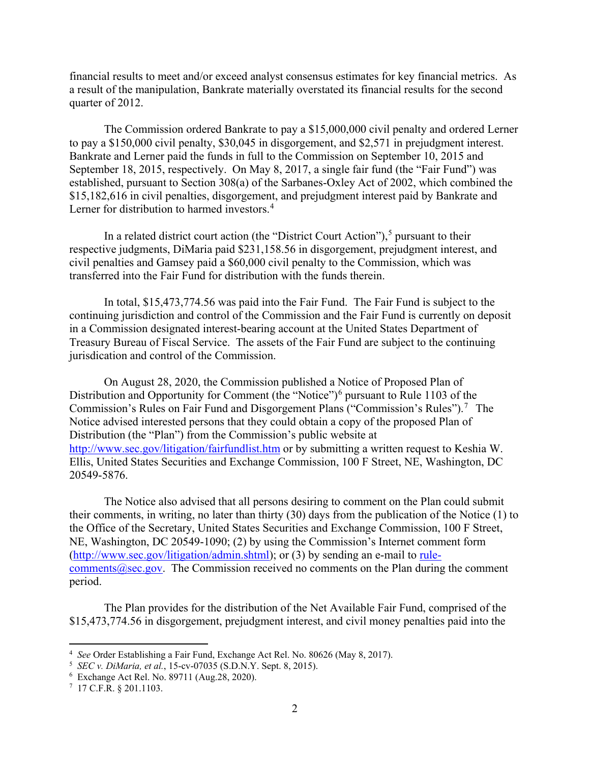financial results to meet and/or exceed analyst consensus estimates for key financial metrics. As a result of the manipulation, Bankrate materially overstated its financial results for the second quarter of 2012.

The Commission ordered Bankrate to pay a \$15,000,000 civil penalty and ordered Lerner to pay a \$150,000 civil penalty, \$30,045 in disgorgement, and \$2,571 in prejudgment interest. Bankrate and Lerner paid the funds in full to the Commission on September 10, 2015 and September 18, 2015, respectively. On May 8, 2017, a single fair fund (the "Fair Fund") was established, pursuant to Section 308(a) of the Sarbanes-Oxley Act of 2002, which combined the \$15,182,616 in civil penalties, disgorgement, and prejudgment interest paid by Bankrate and Lerner for distribution to harmed investors.<sup>[4](#page-1-0)</sup>

In a related district court action (the "District Court Action"),<sup>[5](#page-1-1)</sup> pursuant to their respective judgments, DiMaria paid \$231,158.56 in disgorgement, prejudgment interest, and civil penalties and Gamsey paid a \$60,000 civil penalty to the Commission, which was transferred into the Fair Fund for distribution with the funds therein.

In total, \$15,473,774.56 was paid into the Fair Fund. The Fair Fund is subject to the continuing jurisdiction and control of the Commission and the Fair Fund is currently on deposit in a Commission designated interest-bearing account at the United States Department of Treasury Bureau of Fiscal Service. The assets of the Fair Fund are subject to the continuing jurisdication and control of the Commission.

On August 28, 2020, the Commission published a Notice of Proposed Plan of Distribution and Opportunity for Comment (the "Notice")<sup>[6](#page-1-2)</sup> pursuant to Rule 1103 of the Commission's Rules on Fair Fund and Disgorgement Plans ("Commission's Rules").<sup>[7](#page-1-3)</sup> The Notice advised interested persons that they could obtain a copy of the proposed Plan of Distribution (the "Plan") from the Commission's public website at <http://www.sec.gov/litigation/fairfundlist.htm> or by submitting a written request to Keshia W. Ellis, United States Securities and Exchange Commission, 100 F Street, NE, Washington, DC 20549-5876.

The Notice also advised that all persons desiring to comment on the Plan could submit their comments, in writing, no later than thirty (30) days from the publication of the Notice (1) to the Office of the Secretary, United States Securities and Exchange Commission, 100 F Street, NE, Washington, DC 20549-1090; (2) by using the Commission's Internet comment form [\(http://www.sec.gov/litigation/admin.shtml\)](http://www.sec.gov/litigation/admin.shtml); or (3) by sending an e-mail to rulecomments $@sec.gov$ . The Commission received no comments on the Plan during the comment period.

The Plan provides for the distribution of the Net Available Fair Fund, comprised of the \$15,473,774.56 in disgorgement, prejudgment interest, and civil money penalties paid into the

<span id="page-1-0"></span> $\frac{1}{4}$ *See* Order Establishing a Fair Fund, Exchange Act Rel. No. 80626 (May 8, 2017).

<span id="page-1-1"></span><sup>5</sup> *SEC v. DiMaria, et al.*, 15-cv-07035 (S.D.N.Y. Sept. 8, 2015). 6

<span id="page-1-2"></span>Exchange Act Rel. No. 89711 (Aug.28, 2020).

<span id="page-1-3"></span><sup>7</sup> 17 C.F.R. § 201.1103.